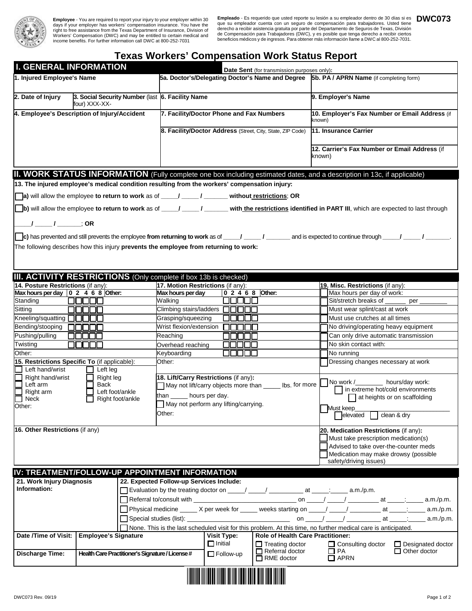

**Employee** - You are required to report your injury to your employer within 30 days if your employer has workers' compensation insurance. You have the right to free assistance from the Texas Department of Insurance, Divisi

**Empleado** - Es requerido que usted reporte su lesión a su empleador dentro de 30 días si es **DWC073**<br>que su empleador cuenta con un seguro de compensación para trabajadores. Usted tiene que su empleador cuenta con un seguro de compensación para trabajadores. Usted tiene<br>derecho a recibir asistencia gratuita por parte del Departamento de Seguros de Texas, División<br>de Compensación para Trabajadores (DWC), y

## **Texas Workers' Compensation Work Status Report**

| <b>I. GENERAL INFORMATION</b>                                                                                                                                                                                                                                  |                                                                                                                |                                                       |                                                                                                                                          |                  |  |                                          |  |                                                                       |                                                          |                                   |                                                                                                                |  |  |  |
|----------------------------------------------------------------------------------------------------------------------------------------------------------------------------------------------------------------------------------------------------------------|----------------------------------------------------------------------------------------------------------------|-------------------------------------------------------|------------------------------------------------------------------------------------------------------------------------------------------|------------------|--|------------------------------------------|--|-----------------------------------------------------------------------|----------------------------------------------------------|-----------------------------------|----------------------------------------------------------------------------------------------------------------|--|--|--|
| 1. Injured Employee's Name                                                                                                                                                                                                                                     |                                                                                                                |                                                       | Date Sent (for transmission purposes only):<br>5a. Doctor's/Delegating Doctor's Name and Degree [5b. PA / APRN Name (if completing form) |                  |  |                                          |  |                                                                       |                                                          |                                   |                                                                                                                |  |  |  |
|                                                                                                                                                                                                                                                                |                                                                                                                |                                                       |                                                                                                                                          |                  |  |                                          |  |                                                                       |                                                          |                                   |                                                                                                                |  |  |  |
| 2. Date of Injury                                                                                                                                                                                                                                              | four) XXX-XX-                                                                                                  |                                                       | 3. Social Security Number (last 6. Facility Name                                                                                         |                  |  |                                          |  |                                                                       |                                                          |                                   | 9. Employer's Name                                                                                             |  |  |  |
| 4. Employee's Description of Injury/Accident                                                                                                                                                                                                                   | 7. Facility/Doctor Phone and Fax Numbers                                                                       |                                                       |                                                                                                                                          |                  |  |                                          |  |                                                                       | 10. Employer's Fax Number or Email Address (if<br>known) |                                   |                                                                                                                |  |  |  |
|                                                                                                                                                                                                                                                                |                                                                                                                |                                                       | 8. Facility/Doctor Address (Street, City, State, ZIP Code)                                                                               |                  |  |                                          |  |                                                                       |                                                          |                                   | 11. Insurance Carrier                                                                                          |  |  |  |
|                                                                                                                                                                                                                                                                |                                                                                                                |                                                       |                                                                                                                                          |                  |  |                                          |  |                                                                       |                                                          | known)                            | 12. Carrier's Fax Number or Email Address (if                                                                  |  |  |  |
| <b>II. WORK STATUS INFORMATION</b> (Fully complete one box including estimated dates, and a description in 13c, if applicable)                                                                                                                                 |                                                                                                                |                                                       |                                                                                                                                          |                  |  |                                          |  |                                                                       |                                                          |                                   |                                                                                                                |  |  |  |
| 13. The injured employee's medical condition resulting from the workers' compensation injury:                                                                                                                                                                  |                                                                                                                |                                                       |                                                                                                                                          |                  |  |                                          |  |                                                                       |                                                          |                                   |                                                                                                                |  |  |  |
|                                                                                                                                                                                                                                                                |                                                                                                                |                                                       |                                                                                                                                          |                  |  |                                          |  |                                                                       |                                                          |                                   |                                                                                                                |  |  |  |
| a) will allow the employee to return to work as of _____/ ______ / _______ without restrictions; OR                                                                                                                                                            |                                                                                                                |                                                       |                                                                                                                                          |                  |  |                                          |  |                                                                       |                                                          |                                   |                                                                                                                |  |  |  |
| b) will allow the employee to return to work as of _____/ ______ / with the restrictions identified in PART III, which are expected to last through                                                                                                            |                                                                                                                |                                                       |                                                                                                                                          |                  |  |                                          |  |                                                                       |                                                          |                                   |                                                                                                                |  |  |  |
| _/ ____ / _______; OR                                                                                                                                                                                                                                          |                                                                                                                |                                                       |                                                                                                                                          |                  |  |                                          |  |                                                                       |                                                          |                                   |                                                                                                                |  |  |  |
|                                                                                                                                                                                                                                                                |                                                                                                                |                                                       |                                                                                                                                          |                  |  |                                          |  |                                                                       |                                                          |                                   |                                                                                                                |  |  |  |
| $\vert$ c) has prevented and still prevents the employee from returning to work as of _____/ _________/ _______ and is expected to continue through ______/ ________/<br>The following describes how this injury prevents the employee from returning to work: |                                                                                                                |                                                       |                                                                                                                                          |                  |  |                                          |  |                                                                       |                                                          |                                   |                                                                                                                |  |  |  |
|                                                                                                                                                                                                                                                                |                                                                                                                |                                                       |                                                                                                                                          |                  |  |                                          |  |                                                                       |                                                          |                                   |                                                                                                                |  |  |  |
|                                                                                                                                                                                                                                                                |                                                                                                                |                                                       |                                                                                                                                          |                  |  |                                          |  |                                                                       |                                                          |                                   |                                                                                                                |  |  |  |
|                                                                                                                                                                                                                                                                |                                                                                                                |                                                       |                                                                                                                                          |                  |  |                                          |  |                                                                       |                                                          |                                   |                                                                                                                |  |  |  |
| III. ACTIVITY RESTRICTIONS (Only complete if box 13b is checked)                                                                                                                                                                                               |                                                                                                                |                                                       | 17. Motion Restrictions (if any):                                                                                                        |                  |  |                                          |  |                                                                       |                                                          |                                   |                                                                                                                |  |  |  |
| 14. Posture Restrictions (if any):<br>Max hours per day $\boxed{0, 2, 4, 6, 8}$ Other:                                                                                                                                                                         |                                                                                                                |                                                       | Max hours per day                                                                                                                        |                  |  |                                          |  | 0 2 4 6 8 Other:                                                      |                                                          |                                   | 19. Misc. Restrictions (if any):<br>Max hours per day of work:                                                 |  |  |  |
| Standing                                                                                                                                                                                                                                                       | UUUUU                                                                                                          |                                                       | Walking                                                                                                                                  |                  |  | WUUU                                     |  |                                                                       |                                                          |                                   | Sit/stretch breaks of<br>per                                                                                   |  |  |  |
| Sitting                                                                                                                                                                                                                                                        | 80000                                                                                                          |                                                       | Climbing stairs/ladders $\Box \Box \Box$                                                                                                 |                  |  |                                          |  |                                                                       |                                                          |                                   | Must wear splint/cast at work                                                                                  |  |  |  |
| Kneeling/squatting □□□□□                                                                                                                                                                                                                                       |                                                                                                                |                                                       | Grasping/squeezing                                                                                                                       |                  |  |                                          |  |                                                                       |                                                          |                                   | Must use crutches at all times                                                                                 |  |  |  |
| Bending/stooping<br>.                                                                                                                                                                                                                                          |                                                                                                                |                                                       | Wrist flexion/extension                                                                                                                  |                  |  |                                          |  |                                                                       |                                                          |                                   | No driving/operating heavy equipment                                                                           |  |  |  |
| Pushing/pulling                                                                                                                                                                                                                                                |                                                                                                                |                                                       | Reaching                                                                                                                                 |                  |  | .                                        |  |                                                                       |                                                          |                                   | Can only drive automatic transmission                                                                          |  |  |  |
| Twisting<br>nnnn                                                                                                                                                                                                                                               |                                                                                                                |                                                       | Overhead reaching                                                                                                                        |                  |  | .                                        |  |                                                                       |                                                          |                                   | No skin contact with:                                                                                          |  |  |  |
| Other:                                                                                                                                                                                                                                                         |                                                                                                                |                                                       | Keyboarding                                                                                                                              |                  |  |                                          |  |                                                                       |                                                          |                                   | No running                                                                                                     |  |  |  |
| 15. Restrictions Specific To (if applicable):                                                                                                                                                                                                                  |                                                                                                                |                                                       | Other:                                                                                                                                   |                  |  |                                          |  |                                                                       |                                                          |                                   | Dressing changes necessary at work                                                                             |  |  |  |
| Left hand/wrist<br>Left leg<br>Right leg<br>Right hand/wrist                                                                                                                                                                                                   |                                                                                                                |                                                       | 18. Lift/Carry Restrictions (if any):                                                                                                    |                  |  |                                          |  |                                                                       |                                                          |                                   |                                                                                                                |  |  |  |
| Left arm                                                                                                                                                                                                                                                       |                                                                                                                | lbs, for more<br>May not lift/carry objects more than |                                                                                                                                          |                  |  |                                          |  |                                                                       |                                                          | No work /________ hours/day work: |                                                                                                                |  |  |  |
| Back<br>Left foot/ankle<br>Right arm                                                                                                                                                                                                                           |                                                                                                                |                                                       | than ______ hours per day.                                                                                                               |                  |  |                                          |  |                                                                       |                                                          |                                   | in extreme hot/cold environments<br>at heights or on scaffolding                                               |  |  |  |
| Neck<br>Other:                                                                                                                                                                                                                                                 | Right foot/ankle                                                                                               | May not perform any lifting/carrying.                 |                                                                                                                                          |                  |  |                                          |  |                                                                       |                                                          |                                   |                                                                                                                |  |  |  |
|                                                                                                                                                                                                                                                                | Other:                                                                                                         |                                                       |                                                                                                                                          |                  |  |                                          |  |                                                                       | Must keep<br>elevated<br>clean & dry                     |                                   |                                                                                                                |  |  |  |
|                                                                                                                                                                                                                                                                |                                                                                                                |                                                       |                                                                                                                                          |                  |  |                                          |  |                                                                       |                                                          |                                   |                                                                                                                |  |  |  |
| 16. Other Restrictions (if any)                                                                                                                                                                                                                                |                                                                                                                |                                                       |                                                                                                                                          |                  |  |                                          |  |                                                                       |                                                          |                                   | 20. Medication Restrictions (if any):                                                                          |  |  |  |
|                                                                                                                                                                                                                                                                |                                                                                                                |                                                       |                                                                                                                                          |                  |  |                                          |  |                                                                       |                                                          |                                   | Must take prescription medication(s)<br>Advised to take over-the-counter meds                                  |  |  |  |
|                                                                                                                                                                                                                                                                |                                                                                                                |                                                       |                                                                                                                                          |                  |  |                                          |  |                                                                       | Medication may make drowsy (possible                     |                                   |                                                                                                                |  |  |  |
|                                                                                                                                                                                                                                                                |                                                                                                                |                                                       |                                                                                                                                          |                  |  |                                          |  |                                                                       |                                                          |                                   | safety/driving issues)                                                                                         |  |  |  |
| IV: TREATMENT/FOLLOW-UP APPOINTMENT INFORMATION                                                                                                                                                                                                                |                                                                                                                |                                                       |                                                                                                                                          |                  |  |                                          |  |                                                                       |                                                          |                                   |                                                                                                                |  |  |  |
| 21. Work Injury Diagnosis                                                                                                                                                                                                                                      |                                                                                                                |                                                       | 22. Expected Follow-up Services Include:                                                                                                 |                  |  |                                          |  |                                                                       |                                                          |                                   |                                                                                                                |  |  |  |
| Information:<br>Evaluation by the treating doctor on ____/ ____/ ______/ at _____: ____ a.m./p.m.                                                                                                                                                              |                                                                                                                |                                                       |                                                                                                                                          |                  |  |                                          |  |                                                                       |                                                          |                                   |                                                                                                                |  |  |  |
|                                                                                                                                                                                                                                                                |                                                                                                                |                                                       |                                                                                                                                          |                  |  |                                          |  |                                                                       |                                                          |                                   |                                                                                                                |  |  |  |
|                                                                                                                                                                                                                                                                | Physical medicine _____ X per week for _____ weeks starting on ____/ _____/ ________ at _____; _____ a.m./p.m. |                                                       |                                                                                                                                          |                  |  |                                          |  |                                                                       |                                                          |                                   |                                                                                                                |  |  |  |
| a.m./p.m.                                                                                                                                                                                                                                                      |                                                                                                                |                                                       |                                                                                                                                          |                  |  |                                          |  |                                                                       |                                                          |                                   |                                                                                                                |  |  |  |
|                                                                                                                                                                                                                                                                | <b>Employee's Signature</b>                                                                                    |                                                       |                                                                                                                                          |                  |  |                                          |  |                                                                       |                                                          |                                   | None. This is the last scheduled visit for this problem. At this time, no further medical care is anticipated. |  |  |  |
| Date /Time of Visit:                                                                                                                                                                                                                                           |                                                                                                                | $\Box$ Initial                                        | <b>Visit Type:</b>                                                                                                                       |                  |  | <b>Role of Health Care Practitioner:</b> |  |                                                                       |                                                          |                                   |                                                                                                                |  |  |  |
| Health Care Practitioner's Signature / License #<br><b>Discharge Time:</b>                                                                                                                                                                                     |                                                                                                                |                                                       |                                                                                                                                          | $\Box$ Follow-up |  |                                          |  | $\Box$ Treating doctor<br>$\Box$ Referral doctor<br>$\Box$ RME doctor |                                                          |                                   | $\Box$ Consulting doctor<br>$\Box$ Designated doctor<br>$\Box$ PA<br>$\Box$ Other doctor<br>$\Box$ APRN        |  |  |  |
|                                                                                                                                                                                                                                                                |                                                                                                                |                                                       |                                                                                                                                          |                  |  |                                          |  |                                                                       |                                                          |                                   |                                                                                                                |  |  |  |
|                                                                                                                                                                                                                                                                |                                                                                                                |                                                       |                                                                                                                                          |                  |  |                                          |  |                                                                       |                                                          |                                   |                                                                                                                |  |  |  |